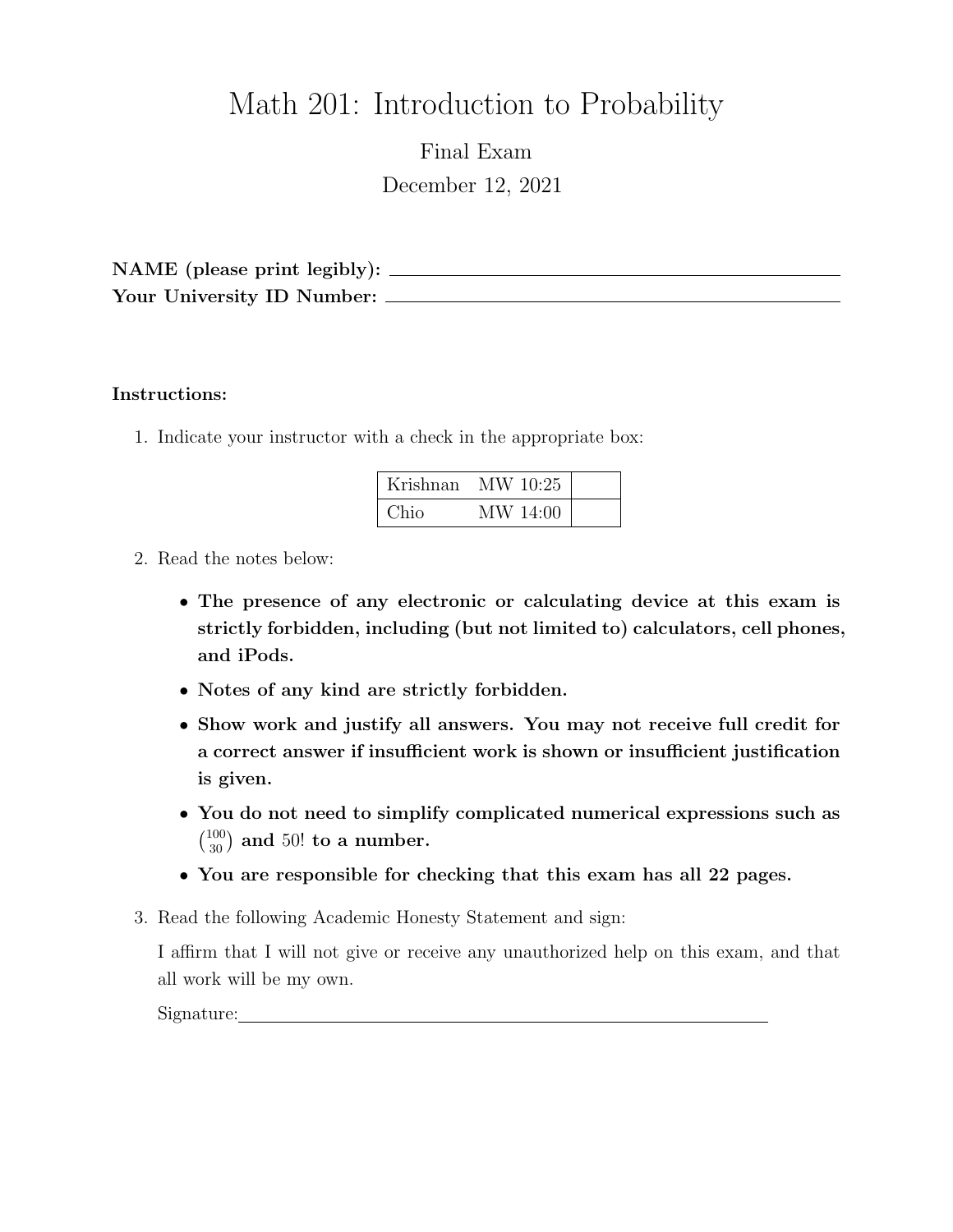# Math 201: Introduction to Probability

Final Exam December 12, 2021

NAME (please print legibly): Your University ID Number:

#### Instructions:

1. Indicate your instructor with a check in the appropriate box:

| Krishnan | MW 10:25 |  |
|----------|----------|--|
| Chio     | MW 14:00 |  |

- 2. Read the notes below:
	- The presence of any electronic or calculating device at this exam is strictly forbidden, including (but not limited to) calculators, cell phones, and iPods.
	- Notes of any kind are strictly forbidden.
	- Show work and justify all answers. You may not receive full credit for a correct answer if insufficient work is shown or insufficient justification is given.
	- You do not need to simplify complicated numerical expressions such as  $\binom{100}{30}$  and 50! to a number.
	- You are responsible for checking that this exam has all 22 pages.
- 3. Read the following Academic Honesty Statement and sign:

I affirm that I will not give or receive any unauthorized help on this exam, and that all work will be my own.

Signature: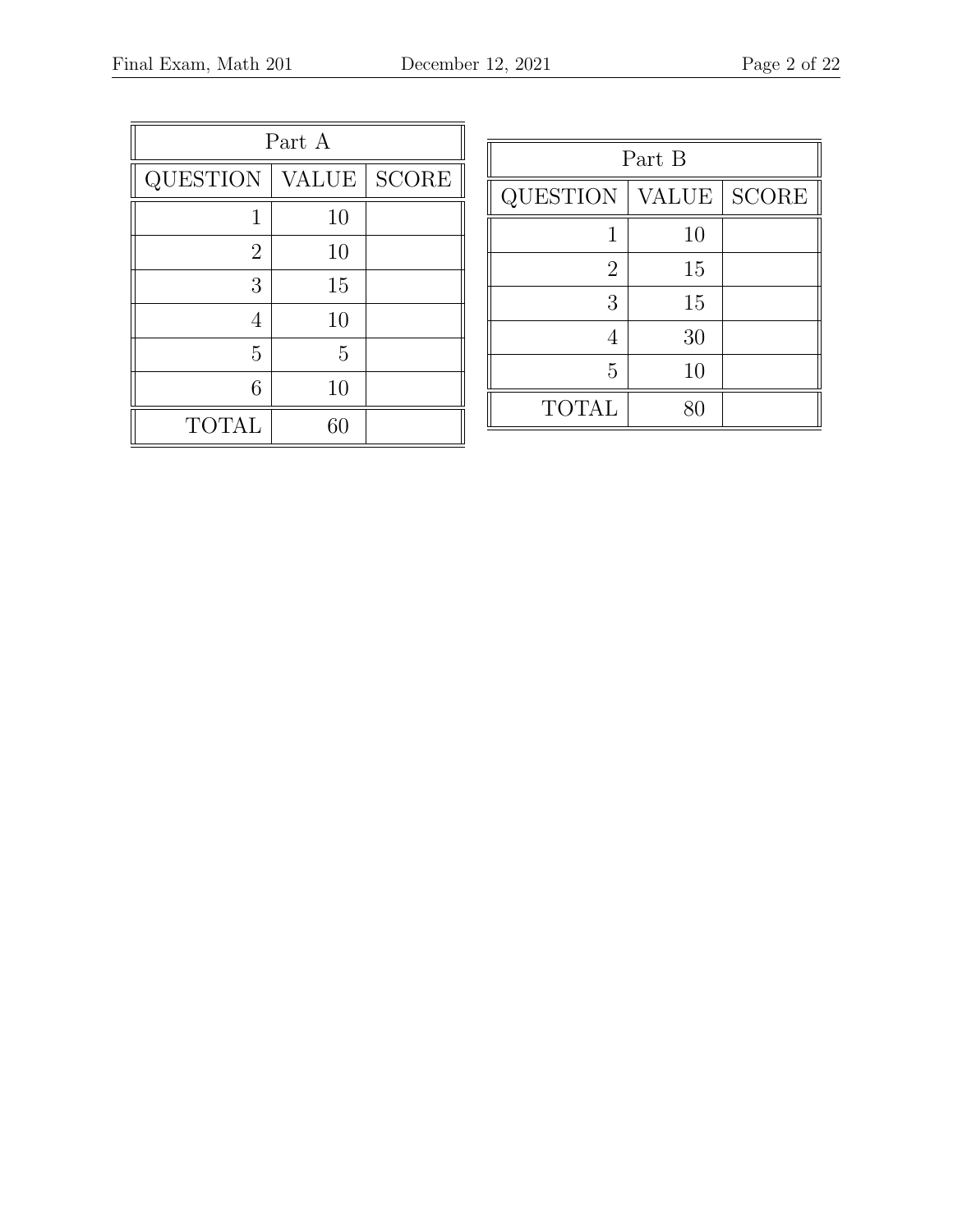| Part A          |       |              |  |  |
|-----------------|-------|--------------|--|--|
| <b>QUESTION</b> | VALUE | <b>SCORE</b> |  |  |
| 1               | 10    |              |  |  |
| $\overline{2}$  | 10    |              |  |  |
| 3               | 15    |              |  |  |
|                 | 10    |              |  |  |
| 5               | 5     |              |  |  |
| 6               | 10    |              |  |  |
| <b>TOTAL</b>    | 60    |              |  |  |

| Part B          |              |              |  |  |  |
|-----------------|--------------|--------------|--|--|--|
| <b>QUESTION</b> | <b>VALUE</b> | <b>SCORE</b> |  |  |  |
| 1               | 10           |              |  |  |  |
| $\overline{2}$  | 15           |              |  |  |  |
| 3               | 15           |              |  |  |  |
| 4               | 30           |              |  |  |  |
| 5               | 10           |              |  |  |  |
| <b>TOTAL</b>    | 80           |              |  |  |  |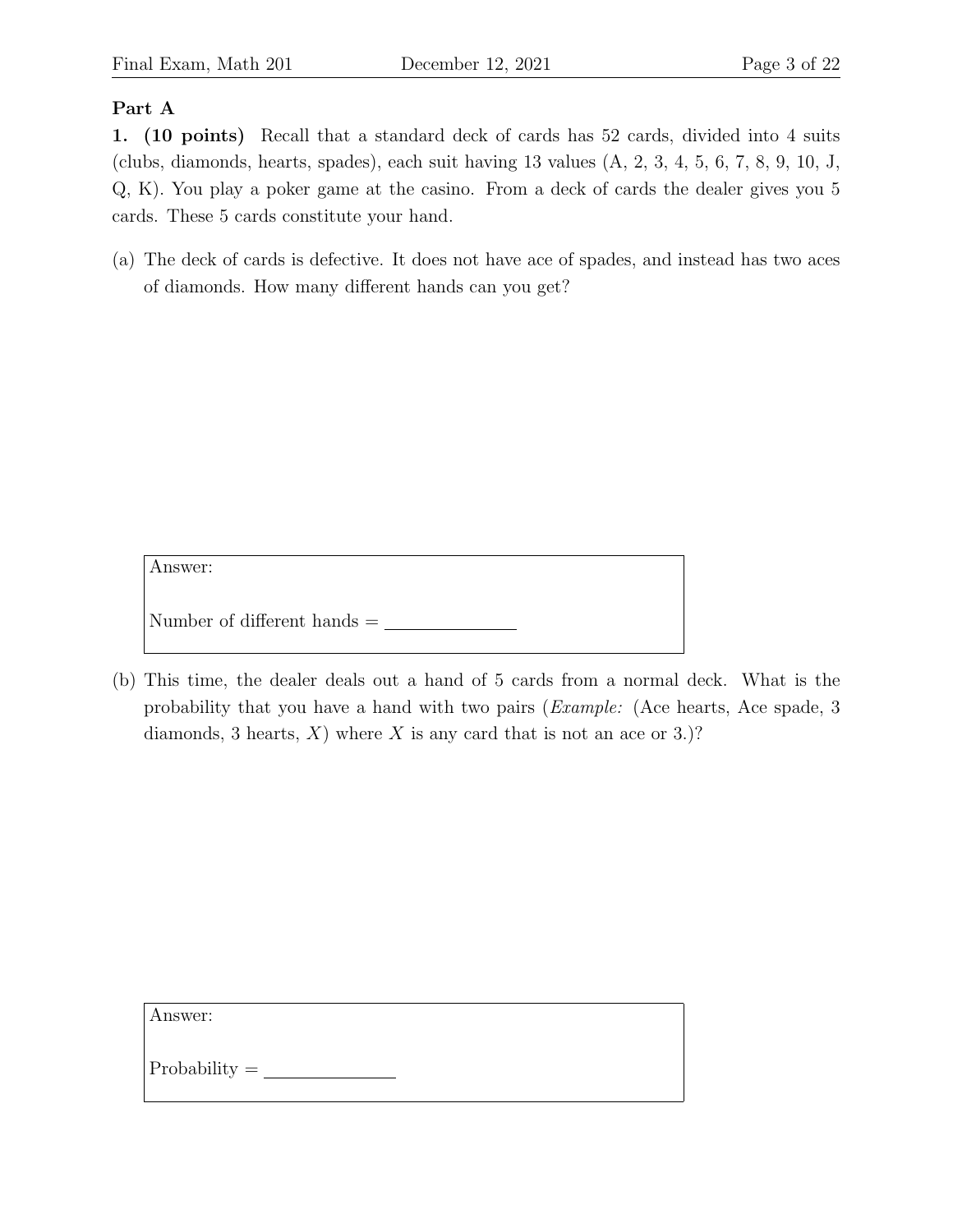#### Part A

1. (10 points) Recall that a standard deck of cards has 52 cards, divided into 4 suits (clubs, diamonds, hearts, spades), each suit having  $13$  values  $(A, 2, 3, 4, 5, 6, 7, 8, 9, 10, J,$ Q, K). You play a poker game at the casino. From a deck of cards the dealer gives you 5 cards. These 5 cards constitute your hand.

(a) The deck of cards is defective. It does not have ace of spades, and instead has two aces of diamonds. How many different hands can you get?

Answer:

Number of different hands =

(b) This time, the dealer deals out a hand of 5 cards from a normal deck. What is the probability that you have a hand with two pairs (Example: (Ace hearts, Ace spade, 3 diamonds, 3 hearts,  $X$ ) where X is any card that is not an ace or 3.)?

Answer:

Probability =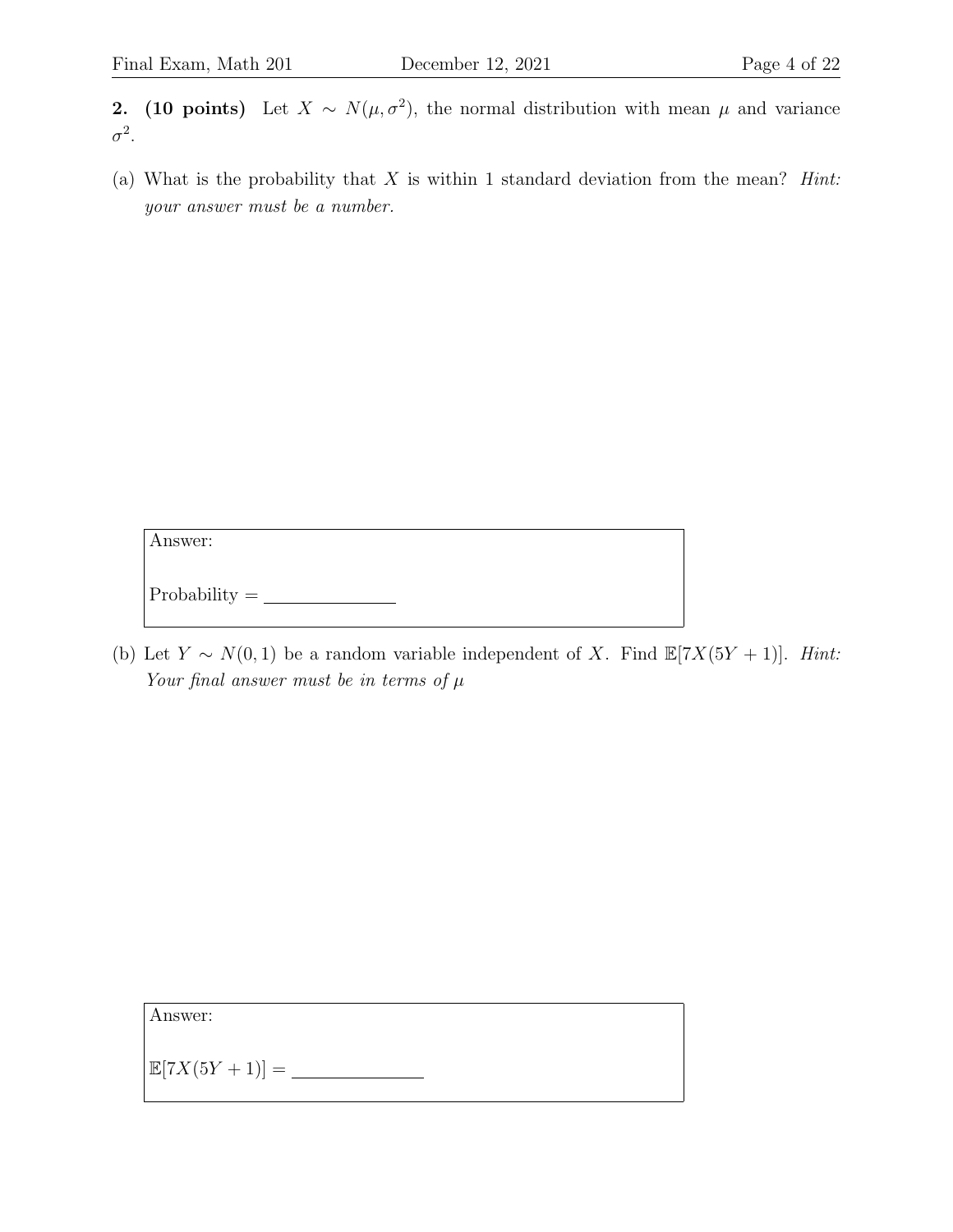**2.** (10 points) Let  $X \sim N(\mu, \sigma^2)$ , the normal distribution with mean  $\mu$  and variance  $\sigma^2$ .

(a) What is the probability that  $X$  is within 1 standard deviation from the mean? *Hint*: your answer must be a number.

Answer:

 $\begin{tabular}{c} Probability = \end{tabular}$ 

(b) Let  $Y \sim N(0, 1)$  be a random variable independent of X. Find  $\mathbb{E}[7X(5Y + 1)]$ . Hint: Your final answer must be in terms of  $\mu$ 

Answer:

E[7X(5Y + 1)] =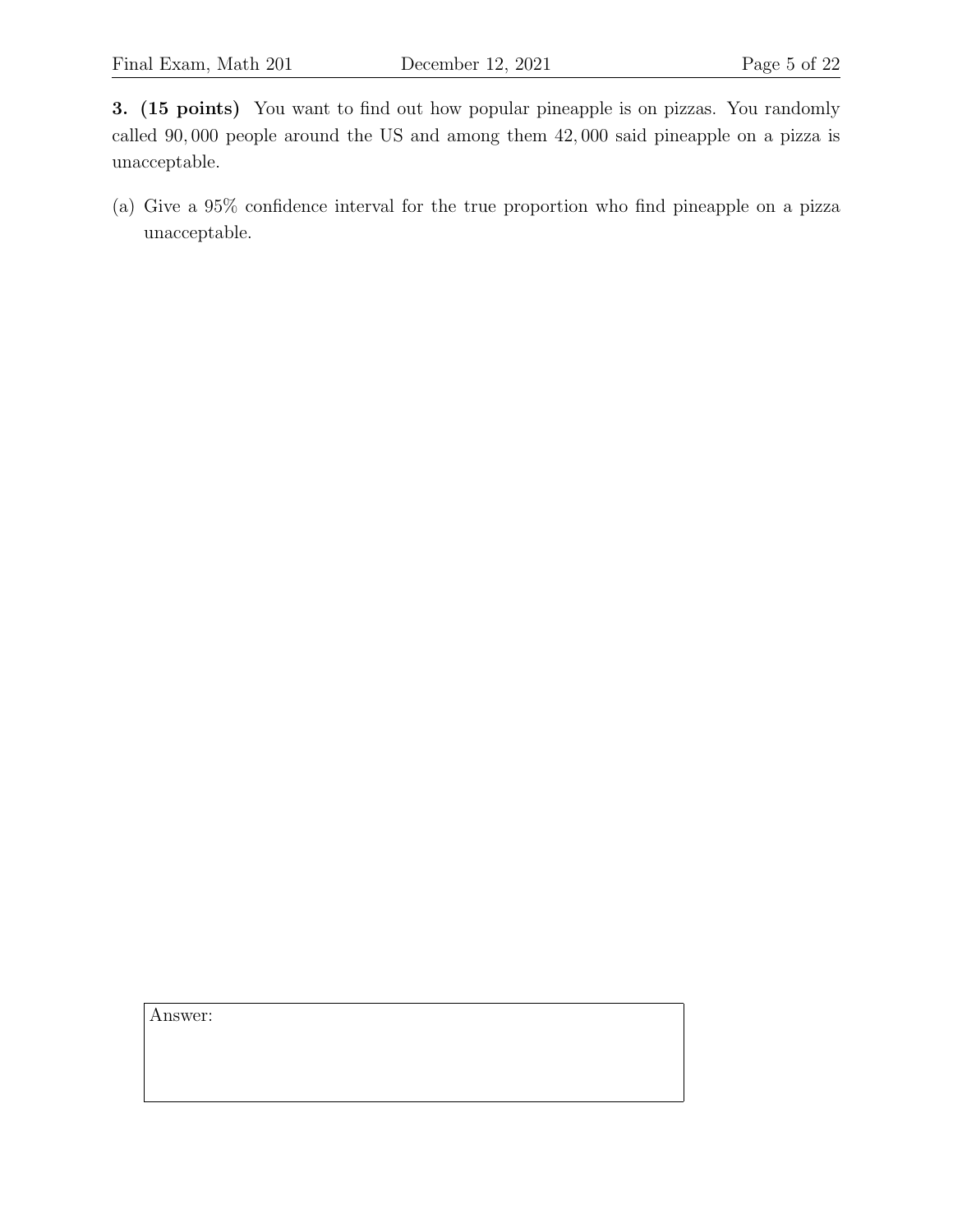3. (15 points) You want to find out how popular pineapple is on pizzas. You randomly called 90, 000 people around the US and among them 42, 000 said pineapple on a pizza is unacceptable.

(a) Give a 95% confidence interval for the true proportion who find pineapple on a pizza unacceptable.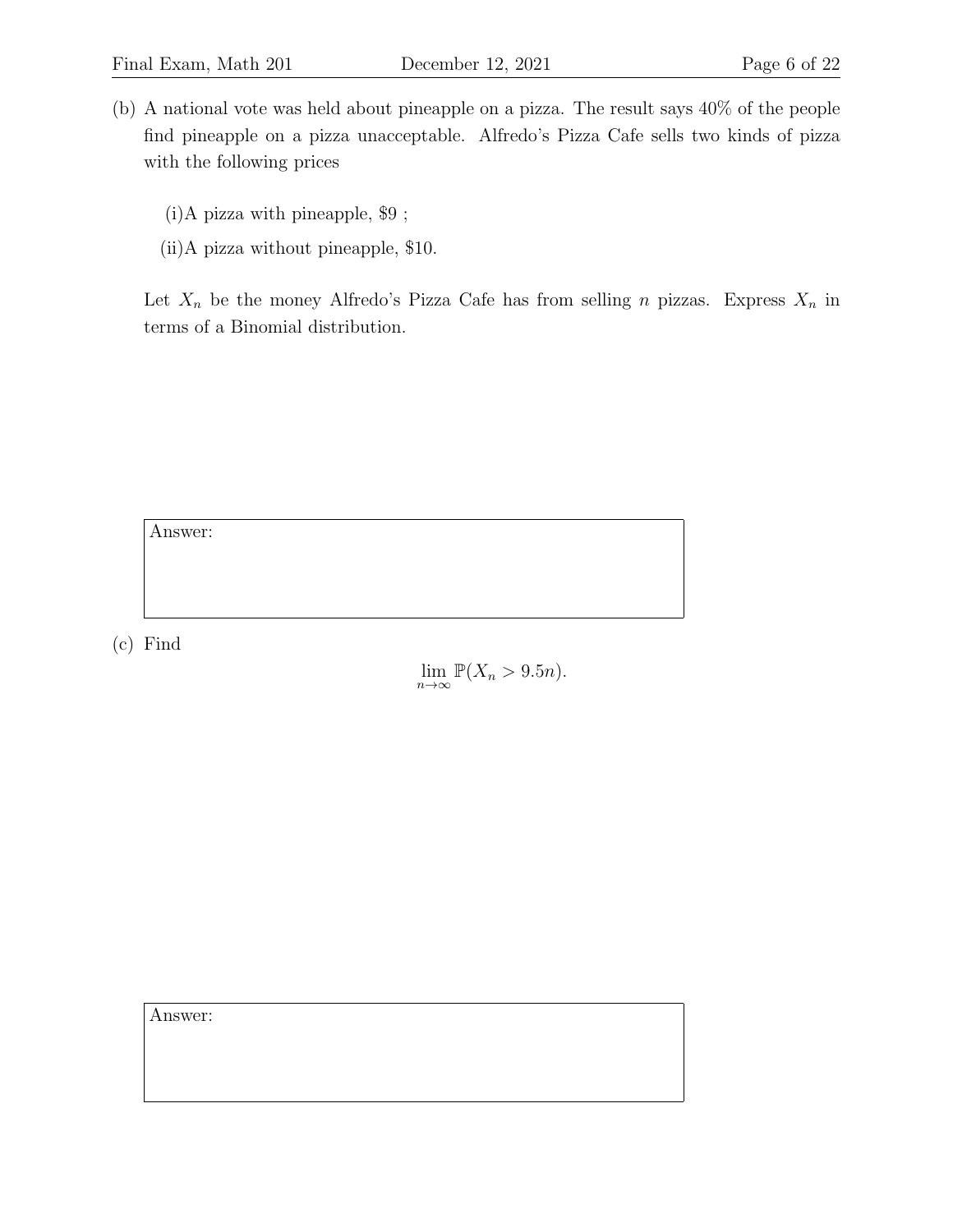- (b) A national vote was held about pineapple on a pizza. The result says 40% of the people find pineapple on a pizza unacceptable. Alfredo's Pizza Cafe sells two kinds of pizza with the following prices
	- (i)A pizza with pineapple, \$9 ;
	- (ii)A pizza without pineapple, \$10.

Let  $X_n$  be the money Alfredo's Pizza Cafe has from selling n pizzas. Express  $X_n$  in terms of a Binomial distribution.

Answer:

(c) Find

 $\lim_{n\to\infty} \mathbb{P}(X_n > 9.5n).$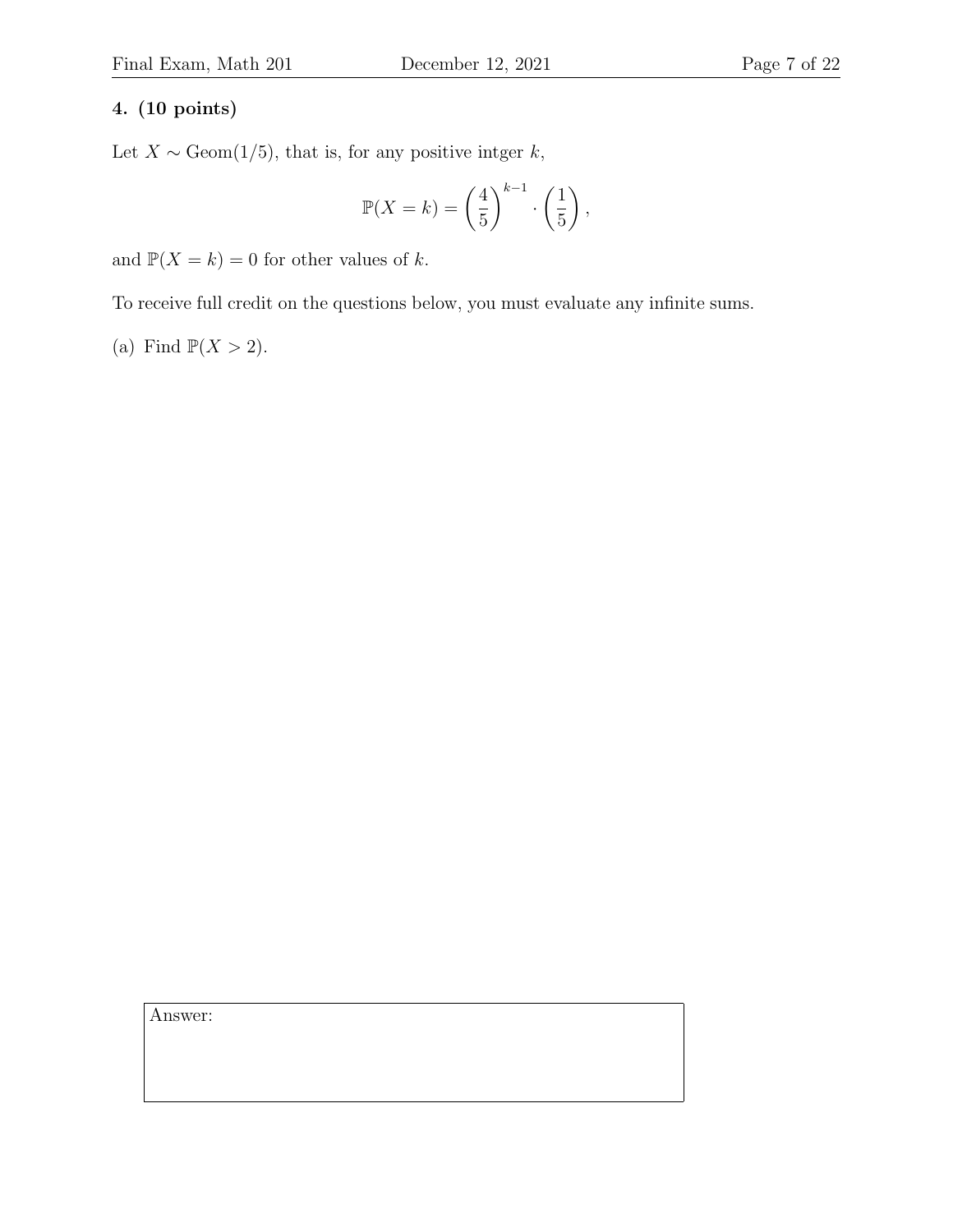### 4. (10 points)

Let  $X \sim \text{Geom}(1/5)$ , that is, for any positive intger k,

$$
\mathbb{P}(X=k) = \left(\frac{4}{5}\right)^{k-1} \cdot \left(\frac{1}{5}\right),
$$

and  $\mathbb{P}(X = k) = 0$  for other values of k.

To receive full credit on the questions below, you must evaluate any infinite sums.

(a) Find 
$$
\mathbb{P}(X > 2)
$$
.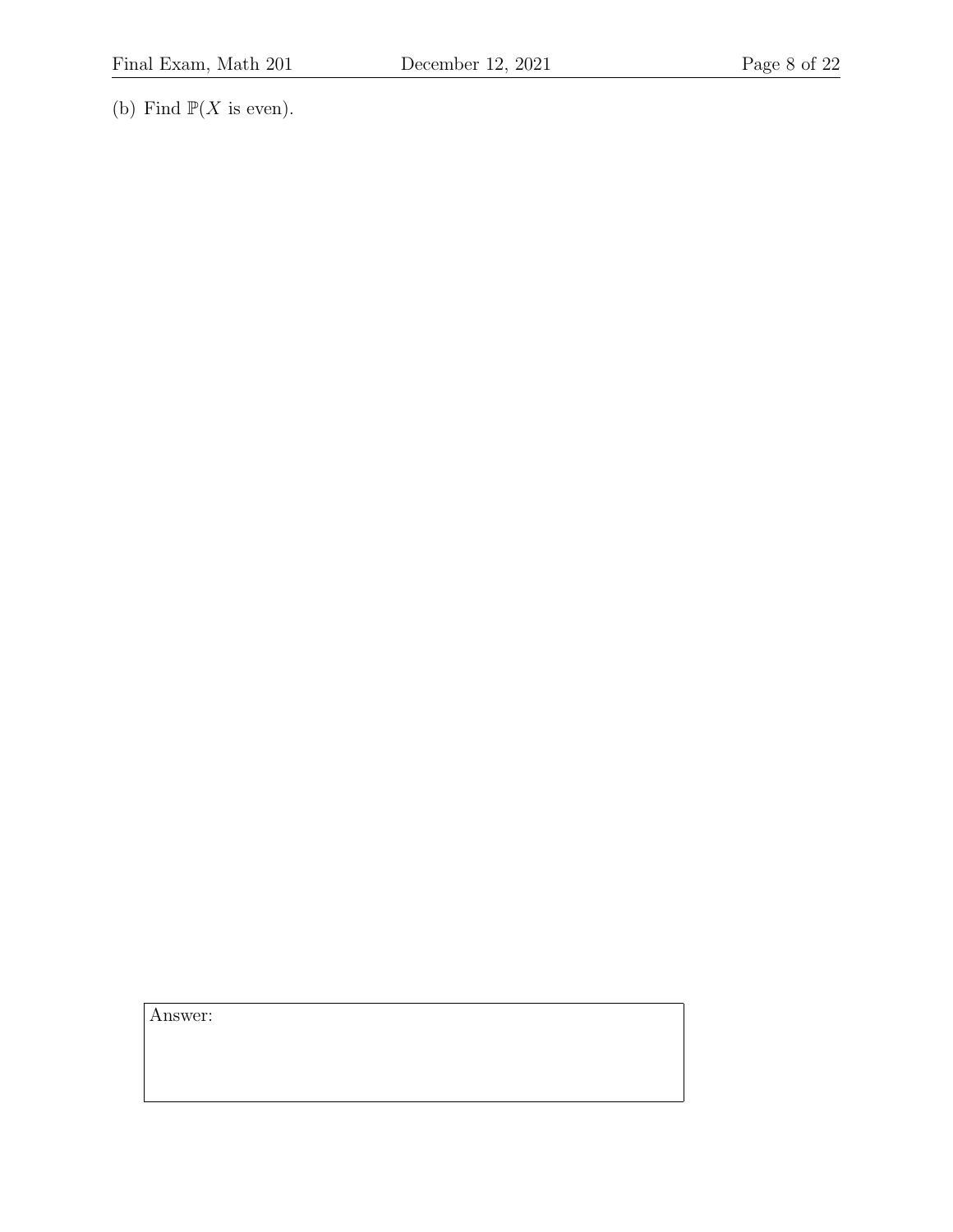(b) Find  $\mathbb{P}(X \text{ is even}).$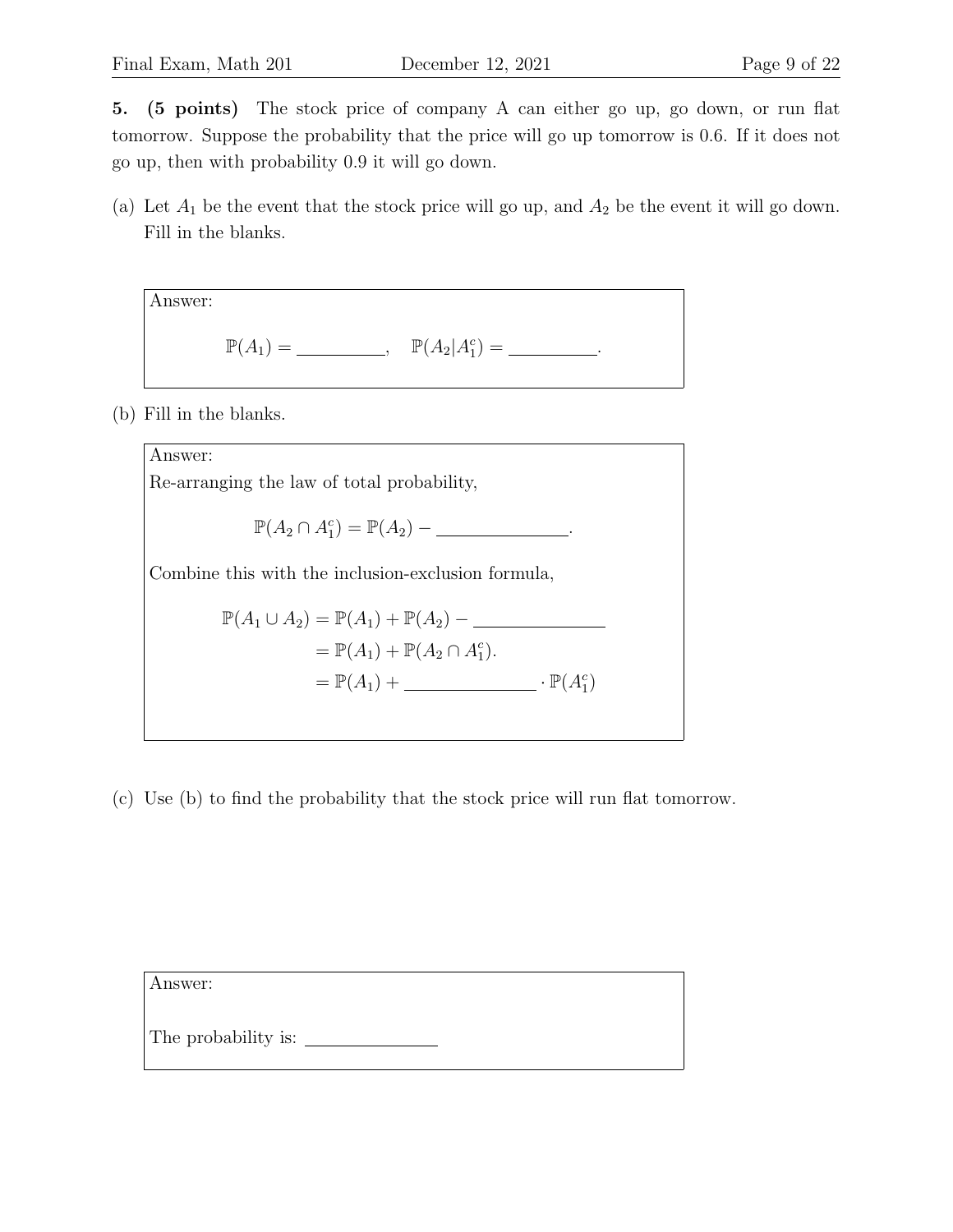5. (5 points) The stock price of company A can either go up, go down, or run flat tomorrow. Suppose the probability that the price will go up tomorrow is 0.6. If it does not go up, then with probability 0.9 it will go down.

(a) Let  $A_1$  be the event that the stock price will go up, and  $A_2$  be the event it will go down. Fill in the blanks.

Answer:  
\n
$$
\mathbb{P}(A_1) = \underline{\qquad \qquad}, \quad \mathbb{P}(A_2|A_1^c) = \underline{\qquad \qquad}.
$$

(b) Fill in the blanks.



(c) Use (b) to find the probability that the stock price will run flat tomorrow.

| Answer:             |  |  |
|---------------------|--|--|
| The probability is: |  |  |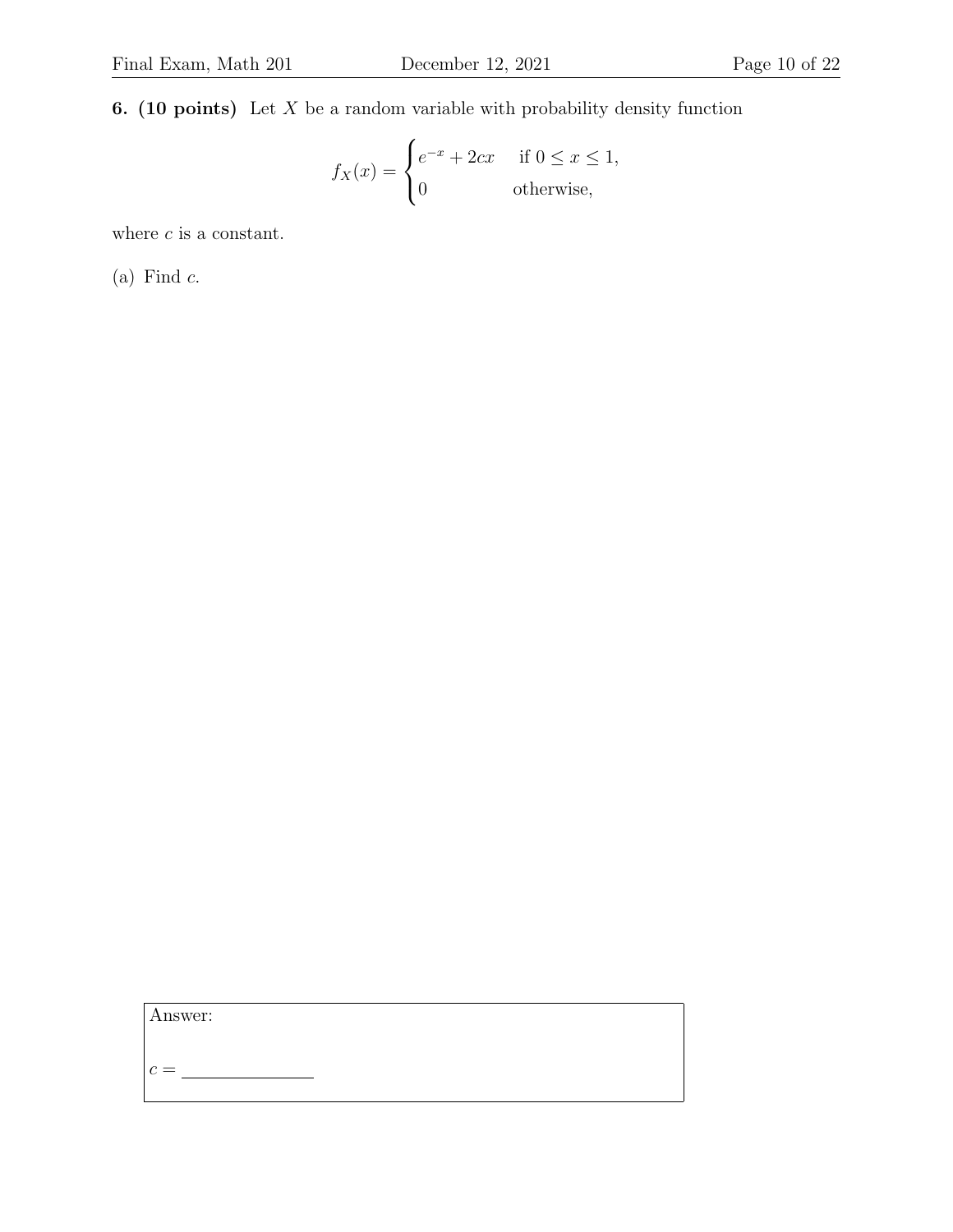**6.** (10 points) Let  $X$  be a random variable with probability density function

$$
f_X(x) = \begin{cases} e^{-x} + 2cx & \text{if } 0 \le x \le 1, \\ 0 & \text{otherwise,} \end{cases}
$$

where  $\boldsymbol{c}$  is a constant.

 $(a)$  Find  $c$ .

Answer:

c =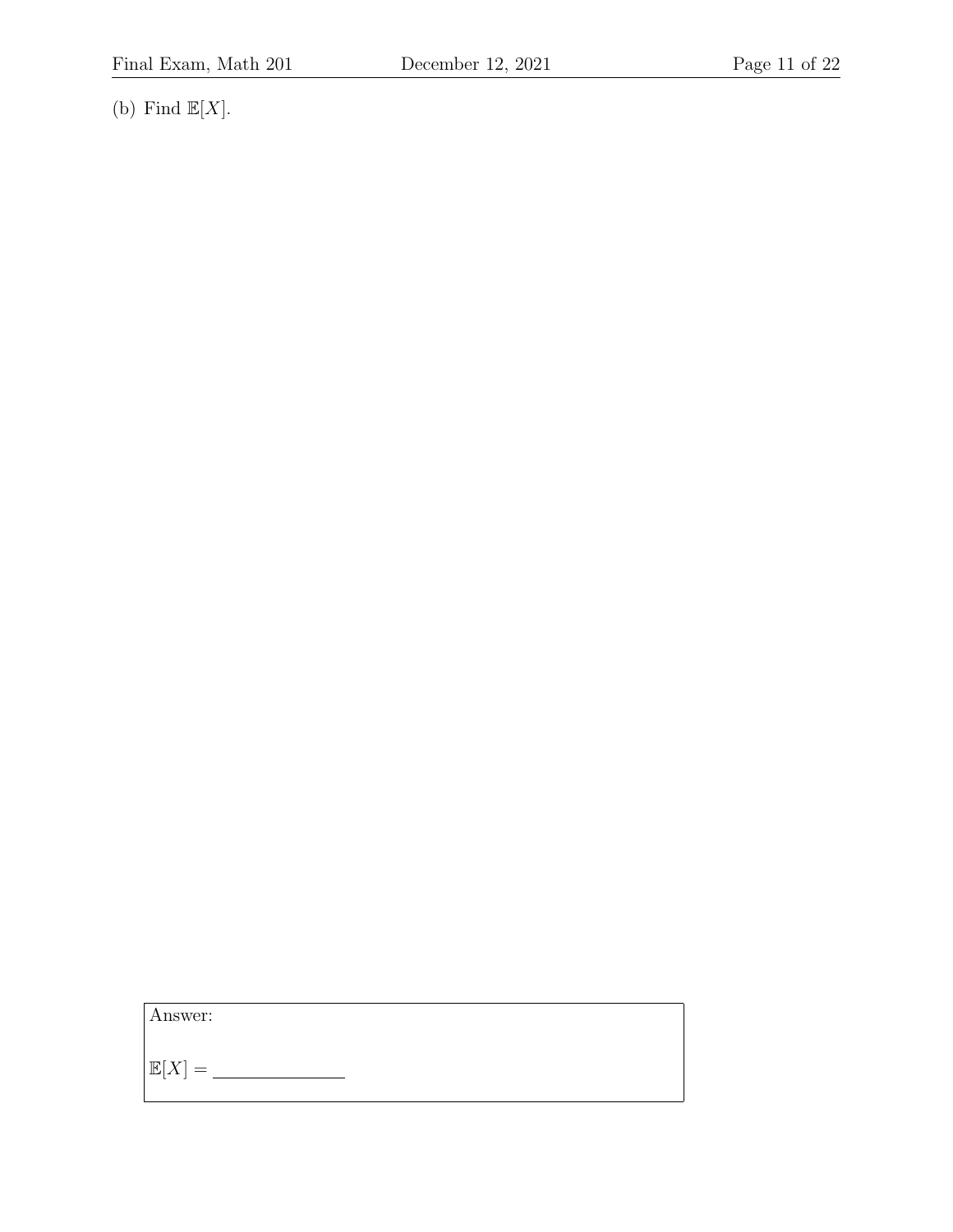(b) Find  $\mathbb{E}[X].$ 

Answer:

 $\mathbb{E}[X] = \underline{\hspace{2cm}}$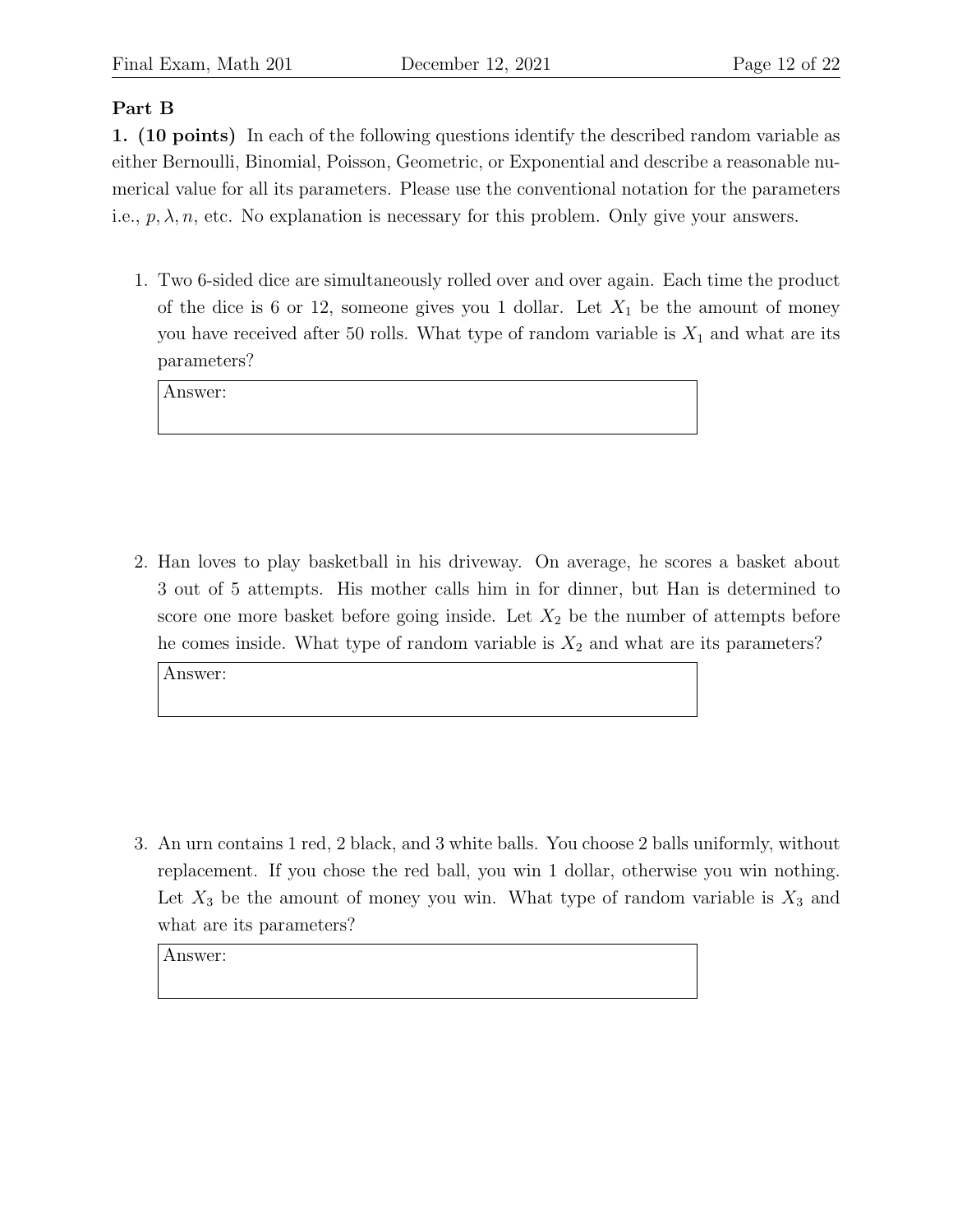### Part B

1. (10 points) In each of the following questions identify the described random variable as either Bernoulli, Binomial, Poisson, Geometric, or Exponential and describe a reasonable numerical value for all its parameters. Please use the conventional notation for the parameters i.e.,  $p, \lambda, n$ , etc. No explanation is necessary for this problem. Only give your answers.

1. Two 6-sided dice are simultaneously rolled over and over again. Each time the product of the dice is 6 or 12, someone gives you 1 dollar. Let  $X_1$  be the amount of money you have received after 50 rolls. What type of random variable is  $X_1$  and what are its parameters?

Answer:

2. Han loves to play basketball in his driveway. On average, he scores a basket about 3 out of 5 attempts. His mother calls him in for dinner, but Han is determined to score one more basket before going inside. Let  $X_2$  be the number of attempts before he comes inside. What type of random variable is  $X_2$  and what are its parameters?

Answer:

3. An urn contains 1 red, 2 black, and 3 white balls. You choose 2 balls uniformly, without replacement. If you chose the red ball, you win 1 dollar, otherwise you win nothing. Let  $X_3$  be the amount of money you win. What type of random variable is  $X_3$  and what are its parameters?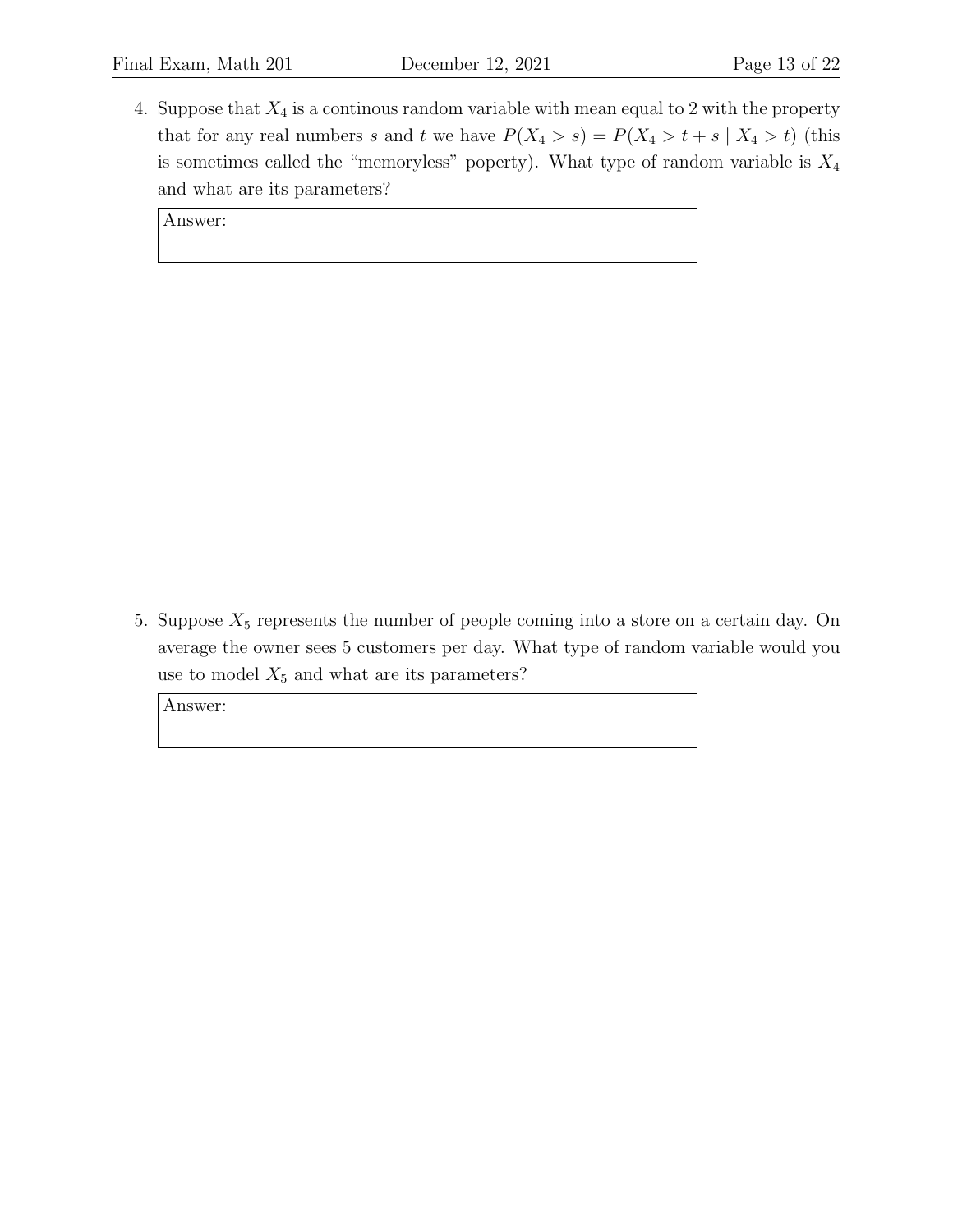4. Suppose that  $X_4$  is a continous random variable with mean equal to 2 with the property that for any real numbers s and t we have  $P(X_4 > s) = P(X_4 > t + s | X_4 > t)$  (this is sometimes called the "memoryless" poperty). What type of random variable is  $X_4$ and what are its parameters?

Answer:

5. Suppose  $X_5$  represents the number of people coming into a store on a certain day. On average the owner sees 5 customers per day. What type of random variable would you use to model  $X_5$  and what are its parameters?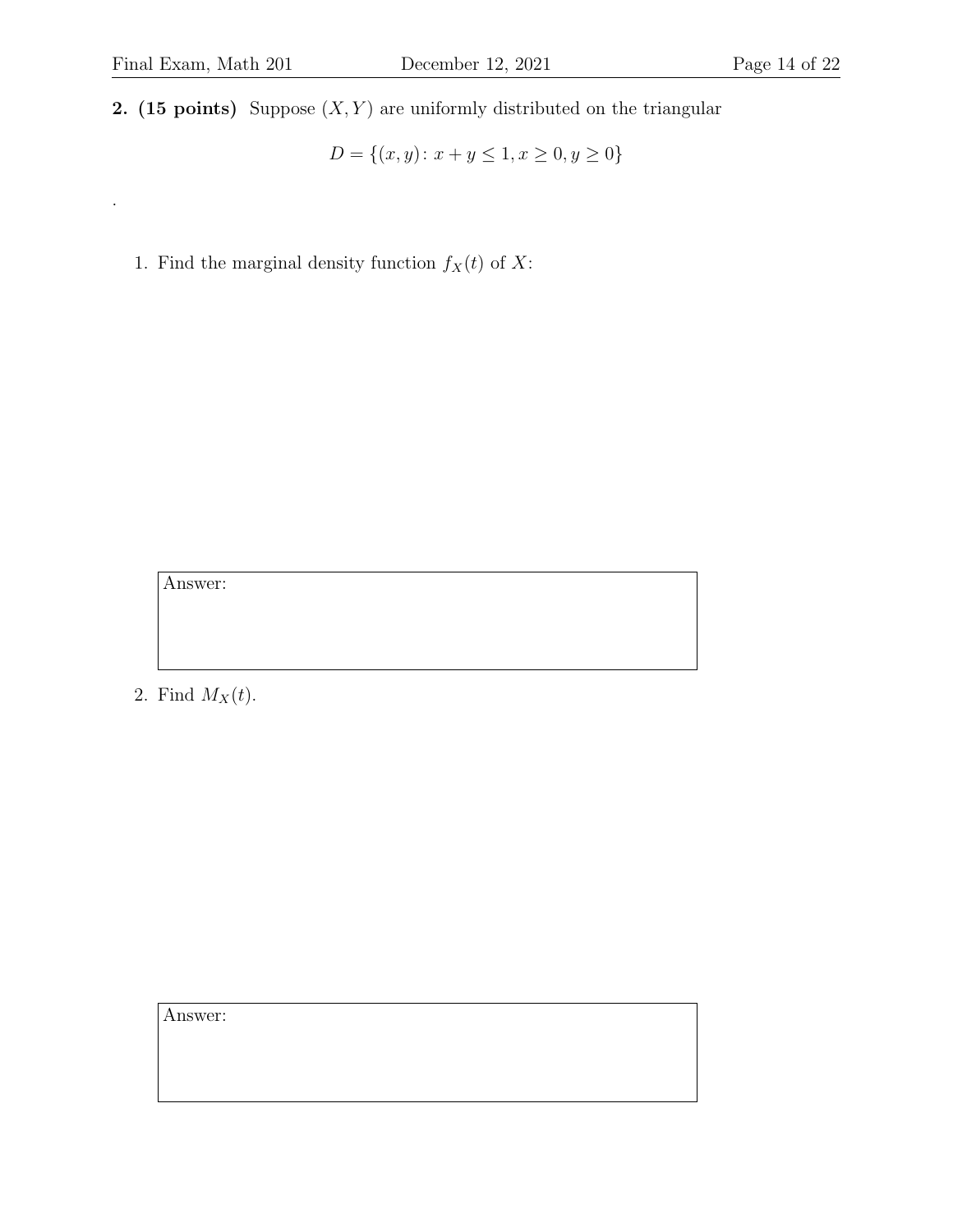.

**2.** (15 points) Suppose  $(X, Y)$  are uniformly distributed on the triangular

 $D = \{(x, y): x + y \leq 1, x \geq 0, y \geq 0\}$ 

1. Find the marginal density function  $f_X(t)$  of X:

Answer:

2. Find  $M_X(t)$ .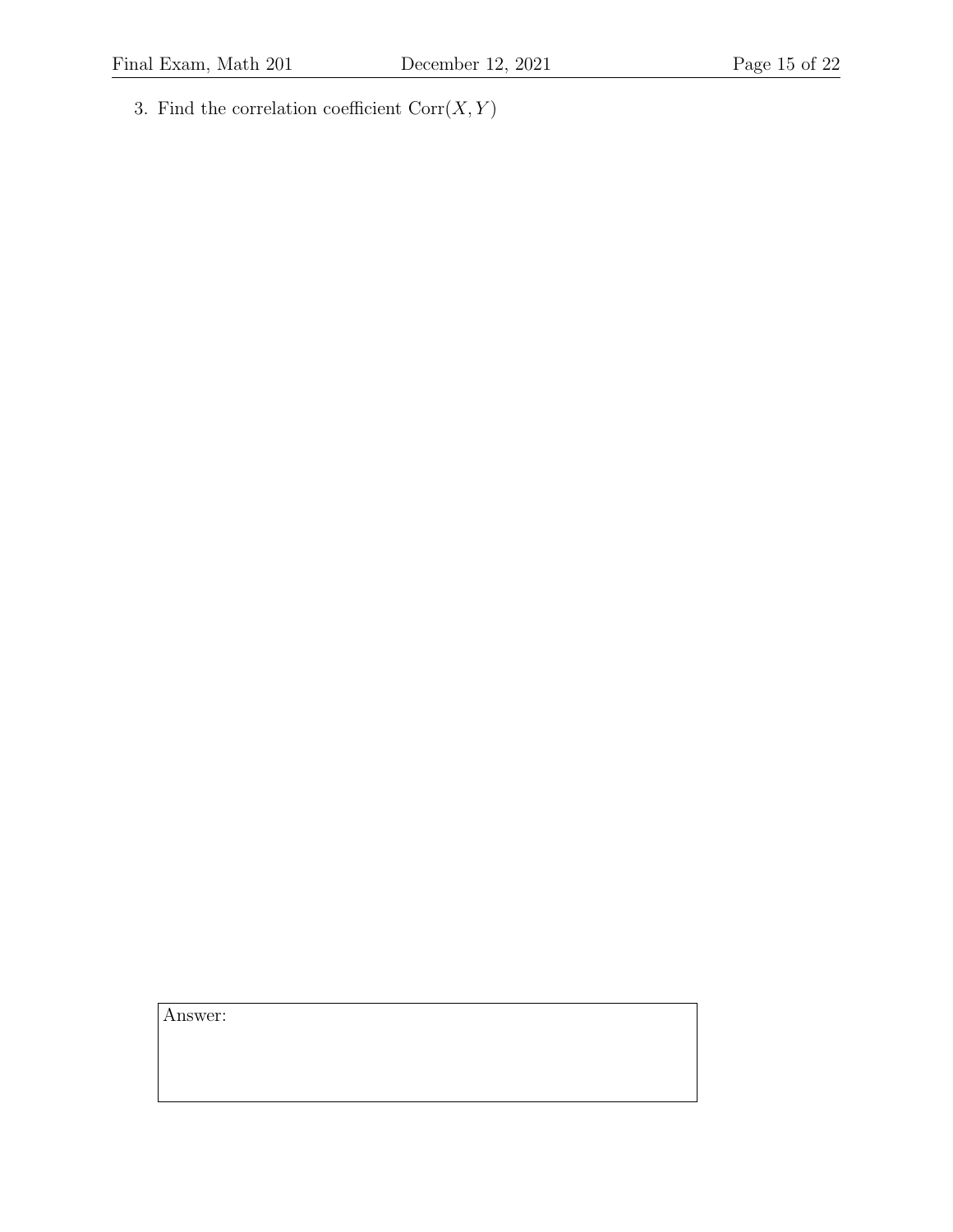3. Find the correlation coefficient  $Corr(X, Y)$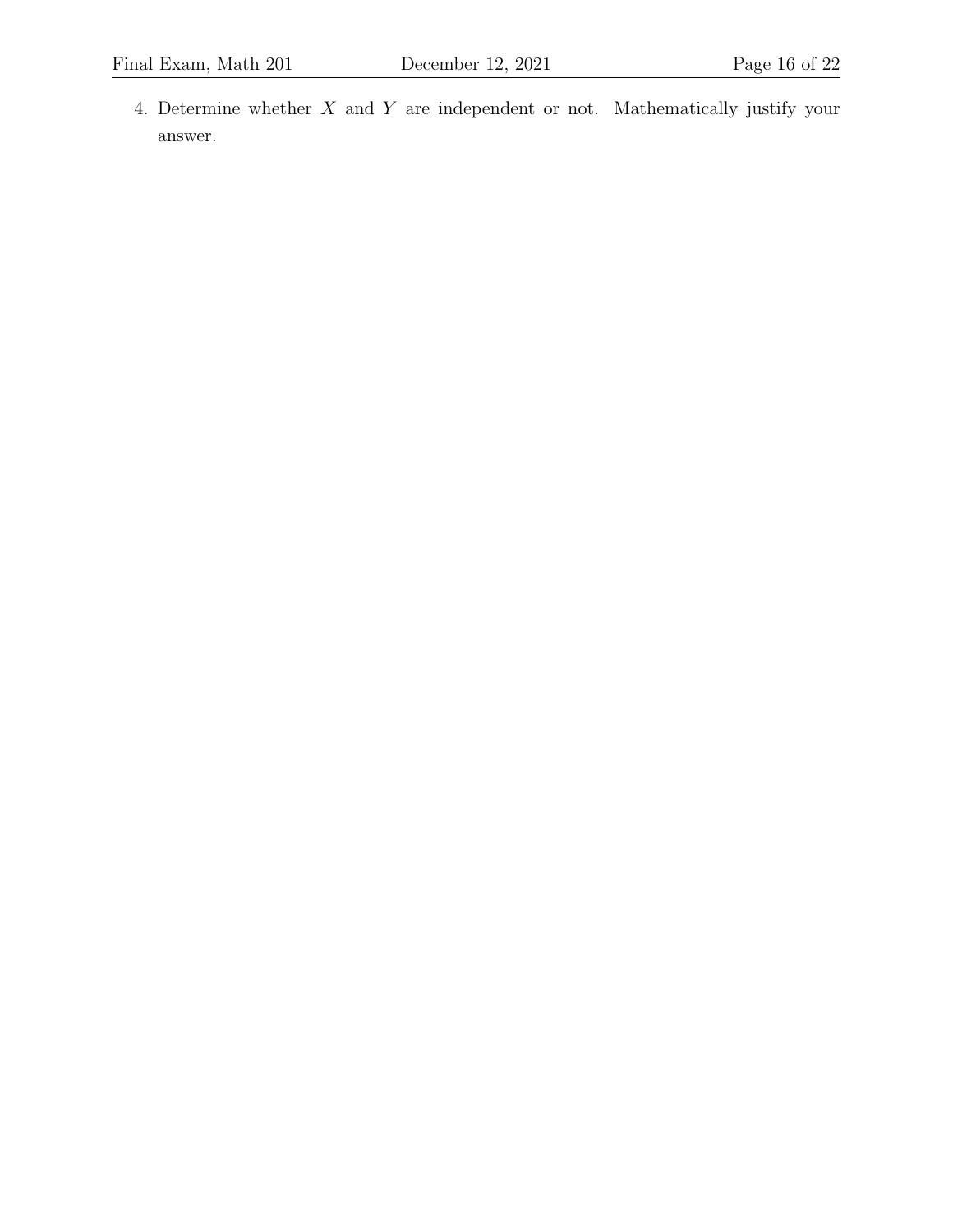4. Determine whether X and Y are independent or not. Mathematically justify your answer.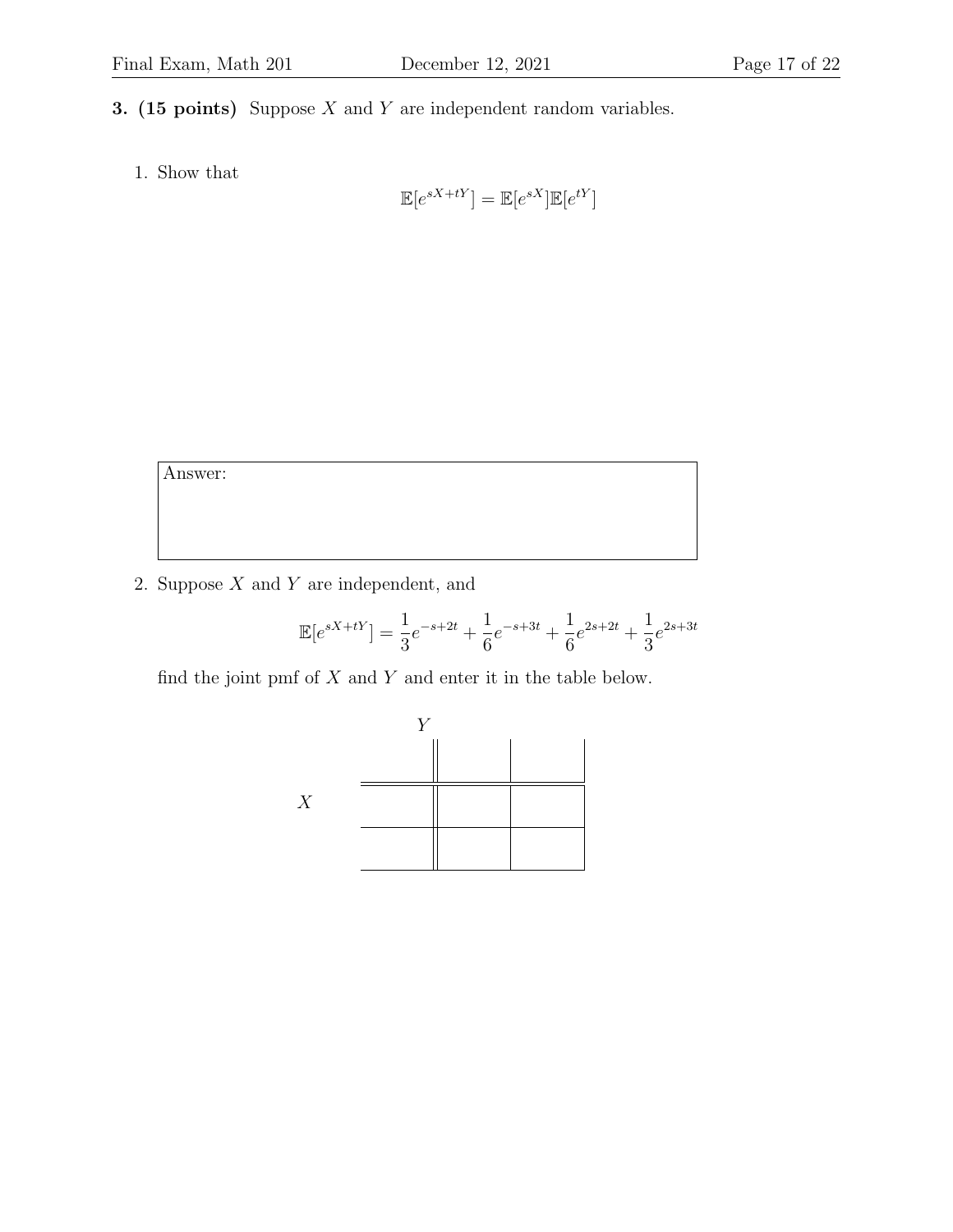- 3. (15 points) Suppose  $X$  and  $Y$  are independent random variables.
	- 1. Show that

$$
\mathbb{E}[e^{sX+tY}] = \mathbb{E}[e^{sX}]\mathbb{E}[e^{tY}]
$$

Answer:

2. Suppose  $X$  and  $Y$  are independent, and

$$
\mathbb{E}[e^{sX+tY}] = \frac{1}{3}e^{-s+2t} + \frac{1}{6}e^{-s+3t} + \frac{1}{6}e^{2s+2t} + \frac{1}{3}e^{2s+3t}
$$

find the joint pmf of  $X$  and  $Y$  and enter it in the table below.

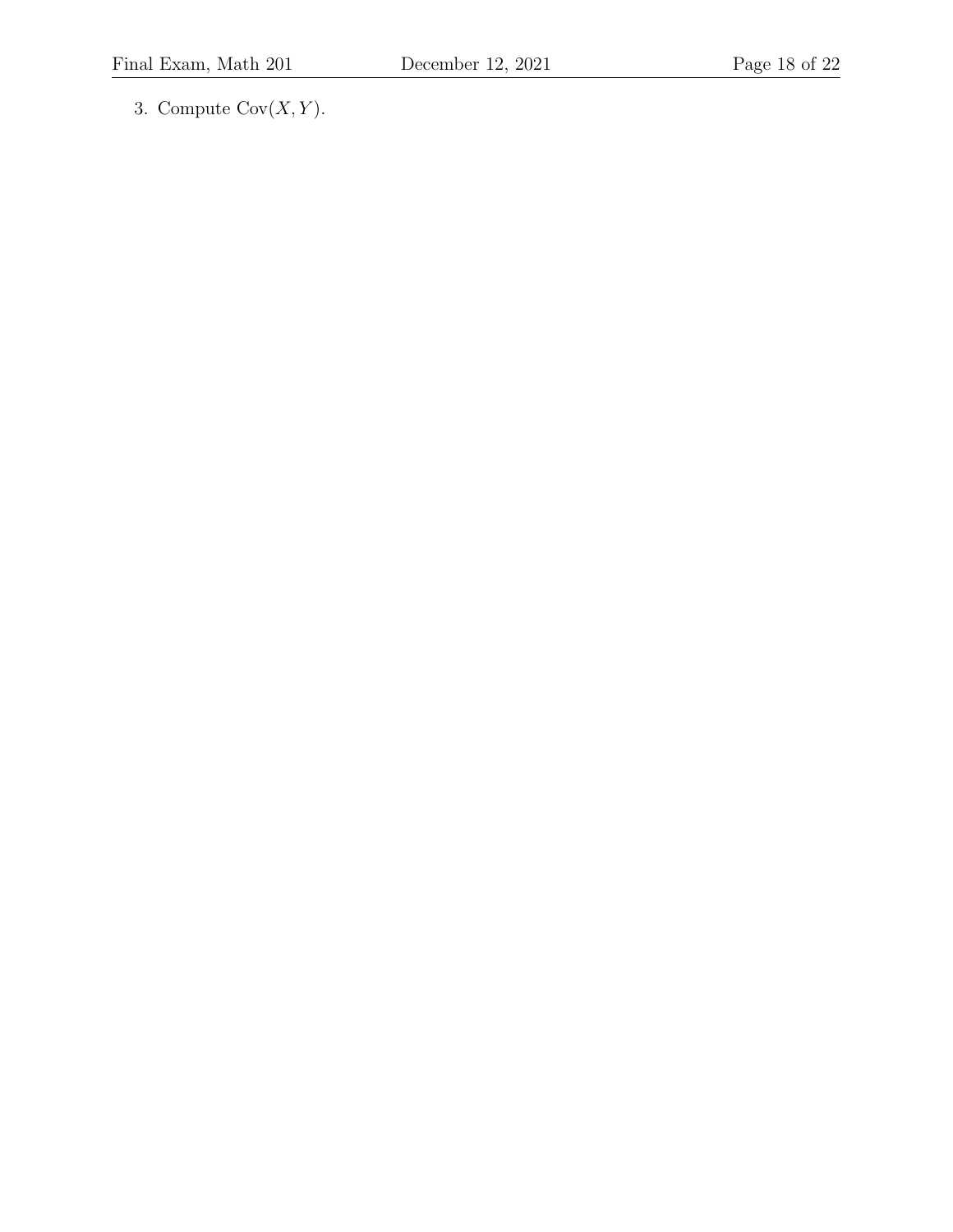3. Compute  $Cov(X, Y)$ .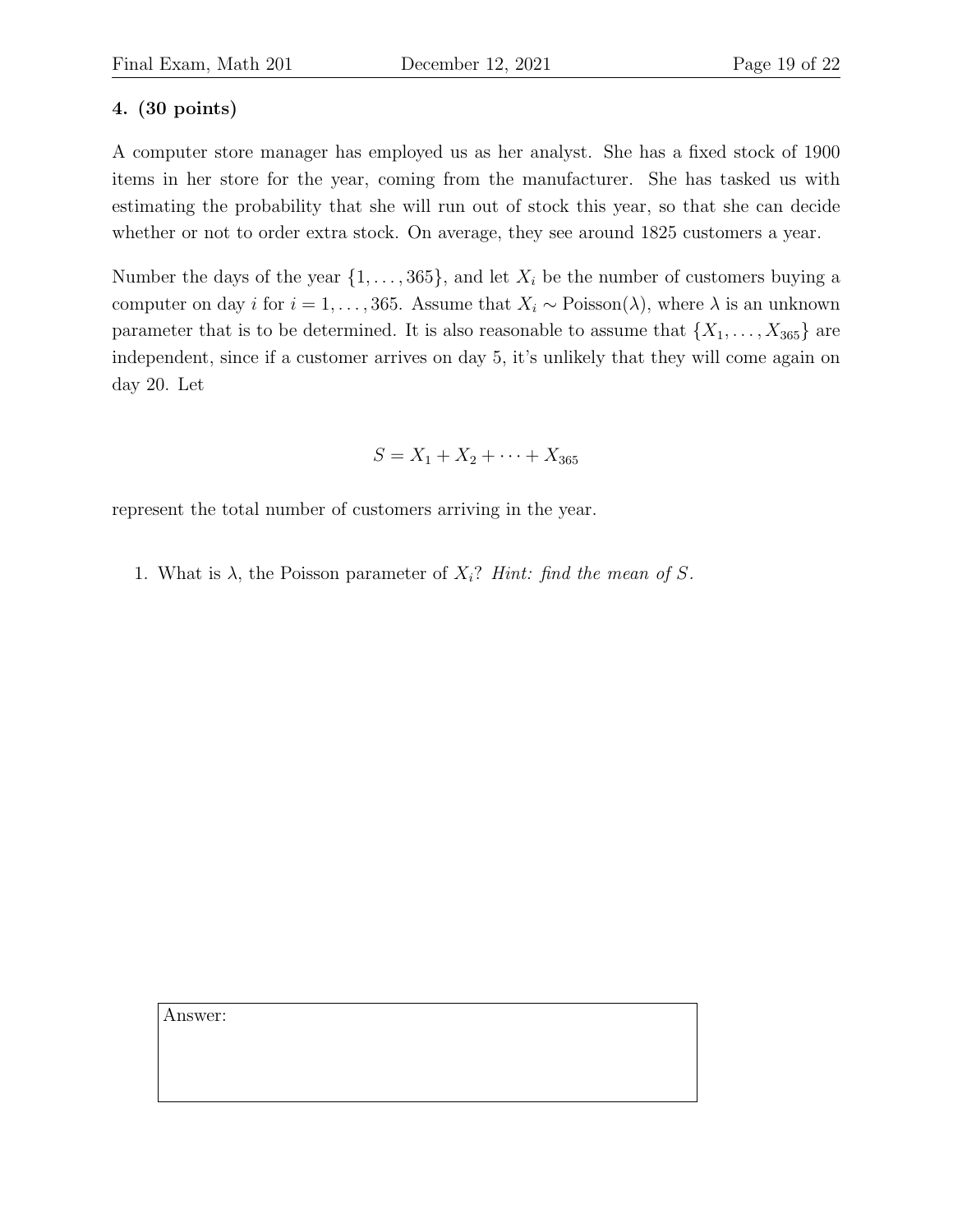## 4. (30 points)

A computer store manager has employed us as her analyst. She has a fixed stock of 1900 items in her store for the year, coming from the manufacturer. She has tasked us with estimating the probability that she will run out of stock this year, so that she can decide whether or not to order extra stock. On average, they see around 1825 customers a year.

Number the days of the year  $\{1, \ldots, 365\}$ , and let  $X_i$  be the number of customers buying a computer on day i for  $i = 1, ..., 365$ . Assume that  $X_i \sim \text{Poisson}(\lambda)$ , where  $\lambda$  is an unknown parameter that is to be determined. It is also reasonable to assume that  $\{X_1, \ldots, X_{365}\}\$  are independent, since if a customer arrives on day 5, it's unlikely that they will come again on day 20. Let

$$
S = X_1 + X_2 + \dots + X_{365}
$$

represent the total number of customers arriving in the year.

1. What is  $\lambda$ , the Poisson parameter of  $X_i$ ? Hint: find the mean of S.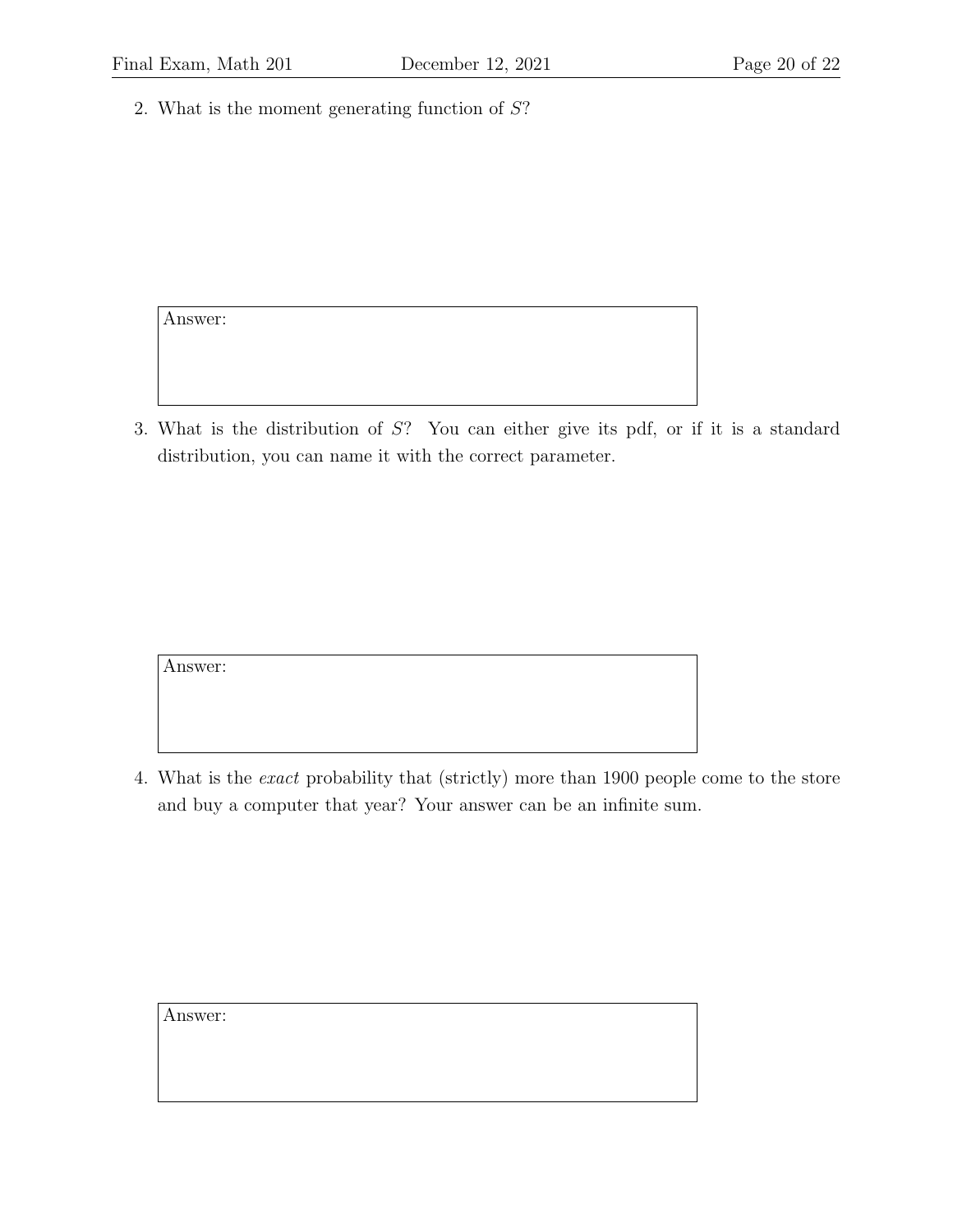2. What is the moment generating function of S?

Answer:

3. What is the distribution of S? You can either give its pdf, or if it is a standard distribution, you can name it with the correct parameter.

Answer:

4. What is the exact probability that (strictly) more than 1900 people come to the store and buy a computer that year? Your answer can be an infinite sum.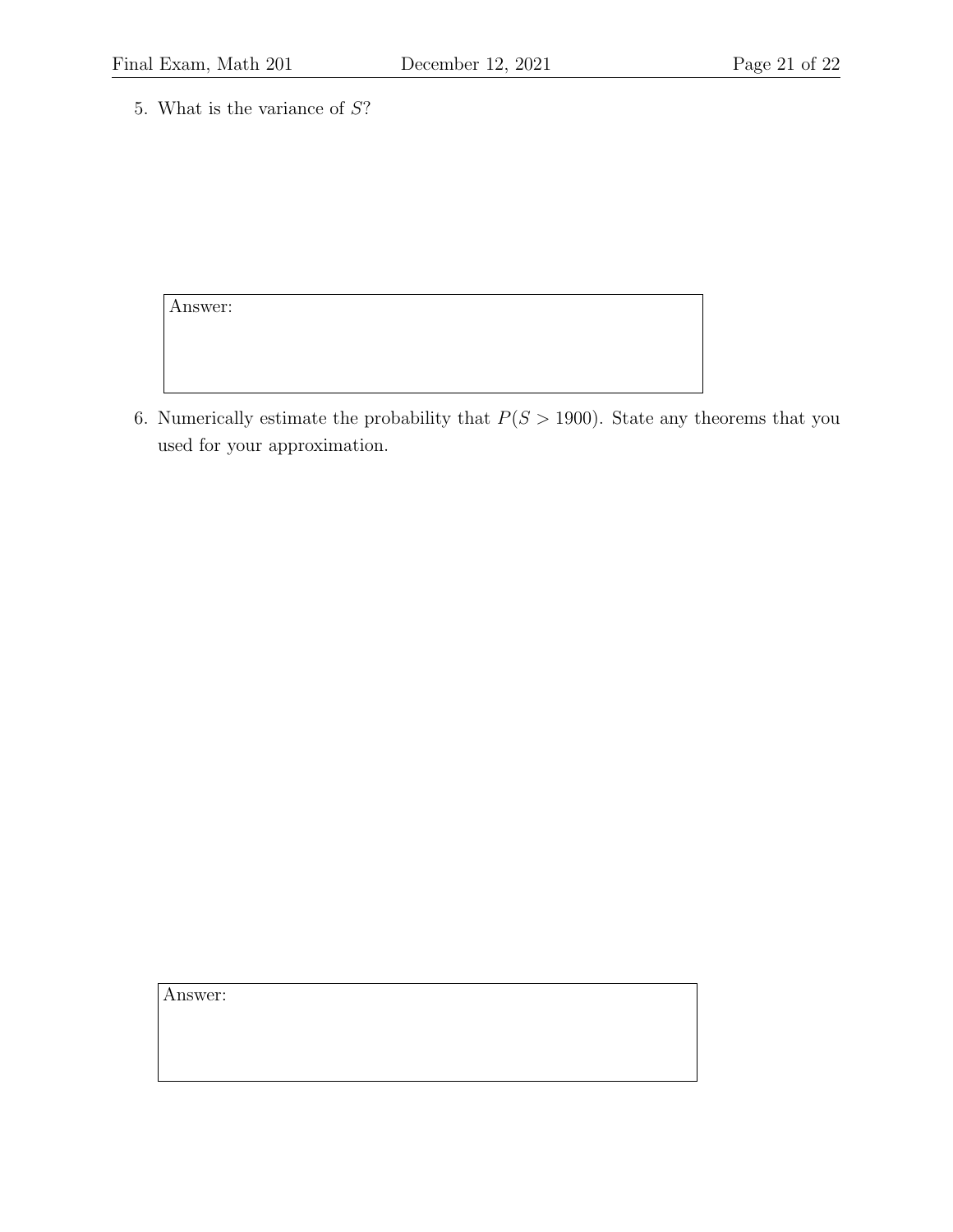5. What is the variance of S?

Answer:

6. Numerically estimate the probability that  $P(S > 1900)$ . State any theorems that you used for your approximation.